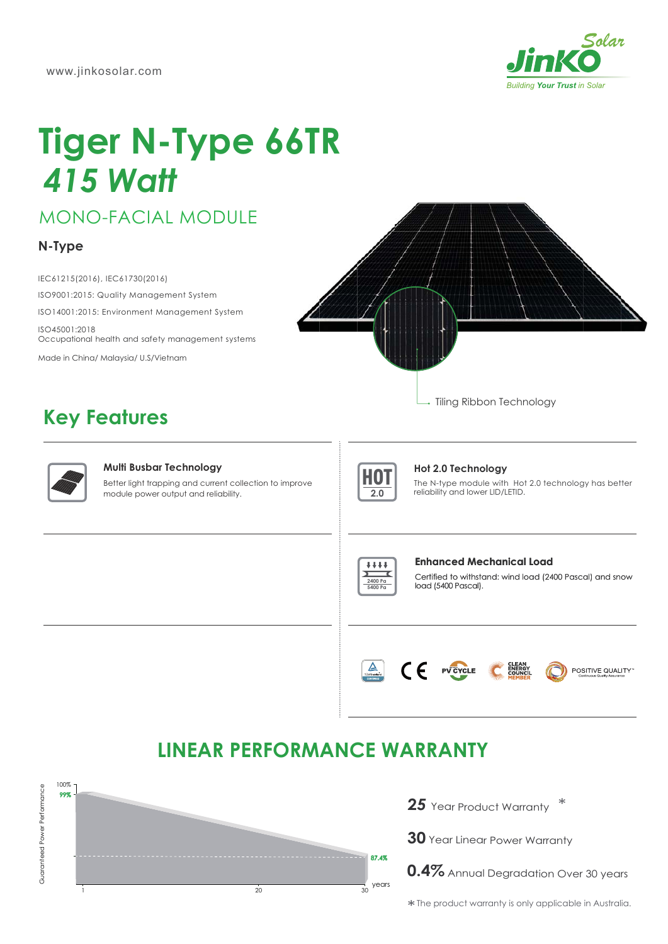

# **Tiger N-Type 66TR 415 Watt**

**MONO-FACIAL MODULE** 

### N-Type

IEC61215(2016), IEC61730(2016) ISO9001:2015: Quality Management System ISO14001:2015: Environment Management System ISO45001:2018

Occupational health and safety management systems Made in China/ Malaysia/ U.S/Vietnam

**Key Features** 





### **Multi Busbar Technology**

Better light trapping and current collection to improve module power output and reliability.



### Hot 2.0 Technology

The N-type module with Hot 2.0 technology has better reliability and lower LID/LETID.



### Enhanced Mechanical Load

Certified to withstand: wind load (2400 Pascal) and snow load (5400 Pascal).



## **LINEAR PERFORMANCE WARRANTY**



25 Year Product Warranty

30 Year Linear Power Warranty

0.4% Annual Degradation Over 30 years

\* The product warranty is only applicable in Australia.